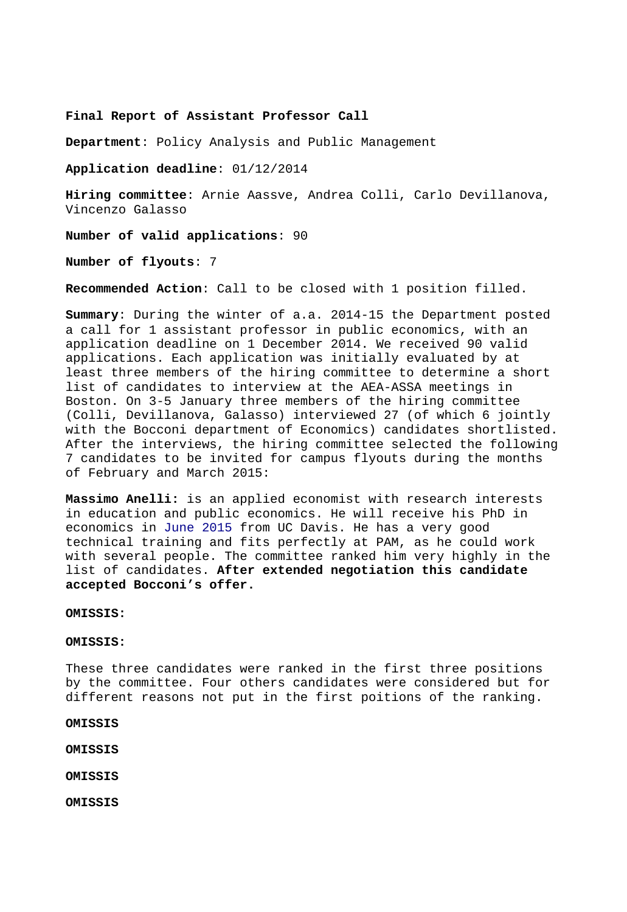**Final Report of Assistant Professor Call** 

**Department**: Policy Analysis and Public Management

**Application deadline**: 01/12/2014

**Hiring committee**: Arnie Aassve, Andrea Colli, Carlo Devillanova, Vincenzo Galasso

**Number of valid applications**: 90

**Number of flyouts**: 7

**Recommended Action**: Call to be closed with 1 position filled.

**Summary**: During the winter of a.a. 2014-15 the Department posted a call for 1 assistant professor in public economics, with an application deadline on 1 December 2014. We received 90 valid applications. Each application was initially evaluated by at least three members of the hiring committee to determine a short list of candidates to interview at the AEA-ASSA meetings in Boston. On 3-5 January three members of the hiring committee (Colli, Devillanova, Galasso) interviewed 27 (of which 6 jointly with the Bocconi department of Economics) candidates shortlisted. After the interviews, the hiring committee selected the following 7 candidates to be invited for campus flyouts during the months of February and March 2015:

**Massimo Anelli:** is an applied economist with research interests in education and public economics. He will receive his PhD in economics in June 2015 from UC Davis. He has a very good technical training and fits perfectly at PAM, as he could work with several people. The committee ranked him very highly in the list of candidates. **After extended negotiation this candidate accepted Bocconi's offer.**

**OMISSIS:**

**OMISSIS:**

These three candidates were ranked in the first three positions by the committee. Four others candidates were considered but for different reasons not put in the first poitions of the ranking.

**OMISSIS**

**OMISSIS**

**OMISSIS** 

**OMISSIS**